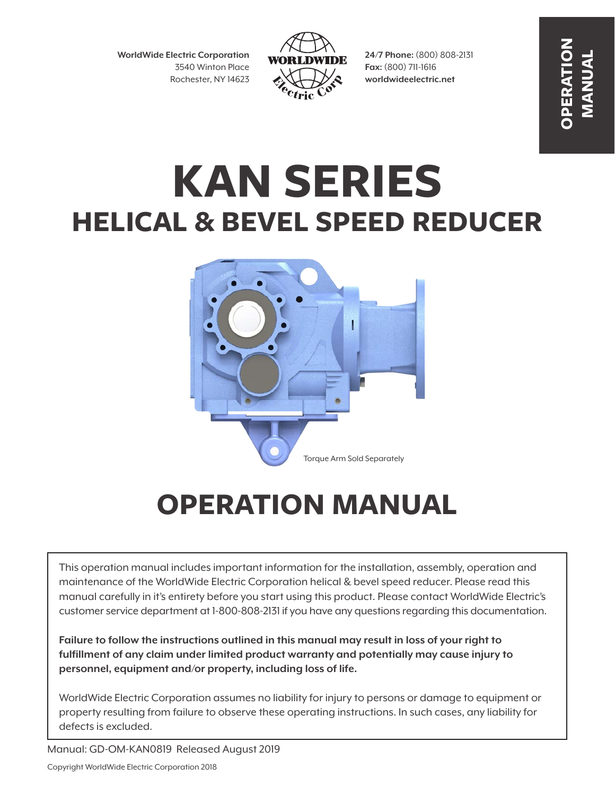**WorldWide Electric Corporation** 3540 Winton Place Rochester, NY 14623



**24/7 Phone:** (800) 808-2131 **Fax:** (800) 711-1616 **worldwideelectric.net**

**OPERATION MANUAL**

# **KAN SERIES HELICAL & BEVEL SPEED REDUCER**



# **OPERATION MANUAL**

This operation manual includes important information for the installation, assembly, operation and maintenance of the WorldWide Electric Corporation helical & bevel speed reducer. Please read this manual carefully in it's entirety before you start using this product. Please contact WorldWide Electric's customer service department at 1-800-808-2131 if you have any questions regarding this documentation.

**Failure to follow the instructions outlined in this manual may result in loss of your right to fulfillment of any claim under limited product warranty and potentially may cause injury to personnel, equipment and/or property, including loss of life.**

WorldWide Electric Corporation assumes no liability for injury to persons or damage to equipment or property resulting from failure to observe these operating instructions. In such cases, any liability for defects is excluded.

Manual: GD-OM-KAN0819 Released August 2019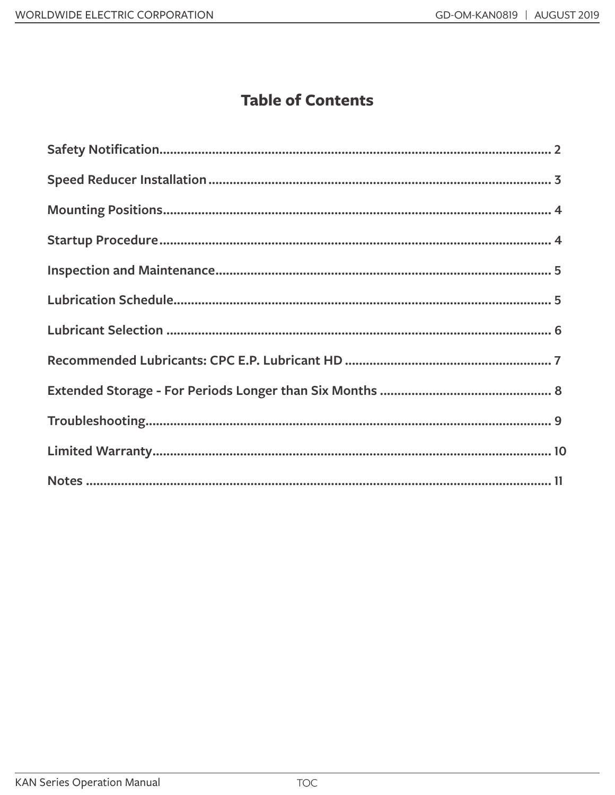#### **Table of Contents**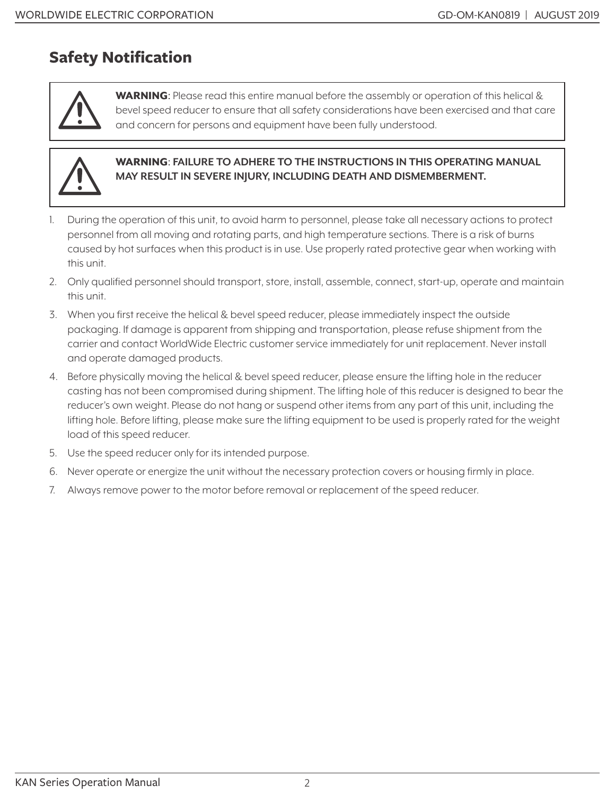#### **Safety Notification**



WARNING: Please read this entire manual before the assembly or operation of this helical & bevel speed reducer to ensure that all safety considerations have been exercised and that care and concern for persons and equipment have been fully understood.



#### WARNING: **FAILURE TO ADHERE TO THE INSTRUCTIONS IN THIS OPERATING MANUAL MAY RESULT IN SEVERE INJURY, INCLUDING DEATH AND DISMEMBERMENT.**

- 1. During the operation of this unit, to avoid harm to personnel, please take all necessary actions to protect personnel from all moving and rotating parts, and high temperature sections. There is a risk of burns caused by hot surfaces when this product is in use. Use properly rated protective gear when working with this unit.
- 2. Only qualified personnel should transport, store, install, assemble, connect, start-up, operate and maintain this unit.
- 3. When you first receive the helical & bevel speed reducer, please immediately inspect the outside packaging. If damage is apparent from shipping and transportation, please refuse shipment from the carrier and contact WorldWide Electric customer service immediately for unit replacement. Never install and operate damaged products.
- 4. Before physically moving the helical & bevel speed reducer, please ensure the lifting hole in the reducer casting has not been compromised during shipment. The lifting hole of this reducer is designed to bear the reducer's own weight. Please do not hang or suspend other items from any part of this unit, including the lifting hole. Before lifting, please make sure the lifting equipment to be used is properly rated for the weight load of this speed reducer.
- 5. Use the speed reducer only for its intended purpose.
- 6. Never operate or energize the unit without the necessary protection covers or housing firmly in place.
- 7. Always remove power to the motor before removal or replacement of the speed reducer.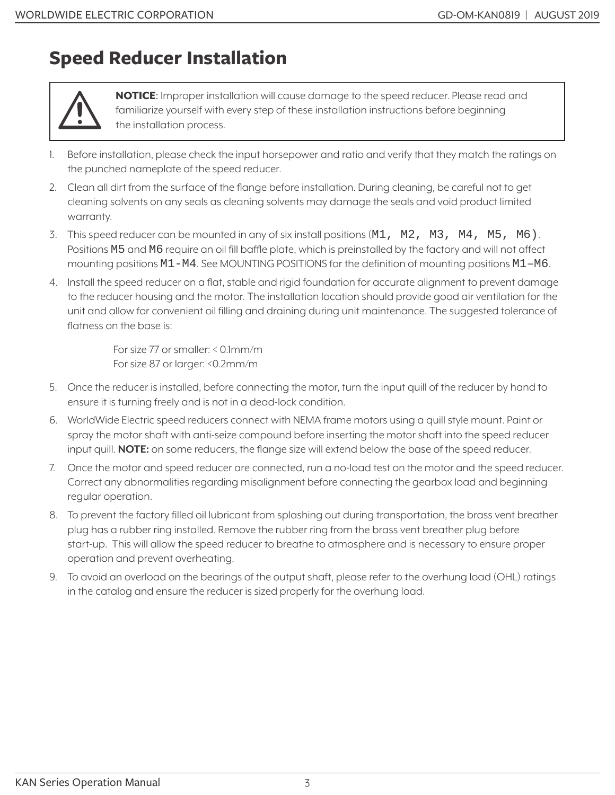### **Speed Reducer Installation**



NOTICE: Improper installation will cause damage to the speed reducer. Please read and familiarize yourself with every step of these installation instructions before beginning the installation process.

- 1. Before installation, please check the input horsepower and ratio and verify that they match the ratings on the punched nameplate of the speed reducer.
- 2. Clean all dirt from the surface of the flange before installation. During cleaning, be careful not to get cleaning solvents on any seals as cleaning solvents may damage the seals and void product limited warranty.
- 3. This speed reducer can be mounted in any of six install positions (M1, M2, M3, M4, M5, M6). Positions M5 and M6 require an oil fill baffle plate, which is preinstalled by the factory and will not affect mounting positions M1-M4. See MOUNTING POSITIONS for the definition of mounting positions M1–M6.
- 4. Install the speed reducer on a flat, stable and rigid foundation for accurate alignment to prevent damage to the reducer housing and the motor. The installation location should provide good air ventilation for the unit and allow for convenient oil filling and draining during unit maintenance. The suggested tolerance of flatness on the base is:

For size 77 or smaller: < 0.1mm/m For size 87 or larger: <0.2mm/m

- 5. Once the reducer is installed, before connecting the motor, turn the input quill of the reducer by hand to ensure it is turning freely and is not in a dead-lock condition.
- 6. WorldWide Electric speed reducers connect with NEMA frame motors using a quill style mount. Paint or spray the motor shaft with anti-seize compound before inserting the motor shaft into the speed reducer input quill. **NOTE:** on some reducers, the flange size will extend below the base of the speed reducer.
- 7. Once the motor and speed reducer are connected, run a no-load test on the motor and the speed reducer. Correct any abnormalities regarding misalignment before connecting the gearbox load and beginning regular operation.
- 8. To prevent the factory filled oil lubricant from splashing out during transportation, the brass vent breather plug has a rubber ring installed. Remove the rubber ring from the brass vent breather plug before start-up. This will allow the speed reducer to breathe to atmosphere and is necessary to ensure proper operation and prevent overheating.
- 9. To avoid an overload on the bearings of the output shaft, please refer to the overhung load (OHL) ratings in the catalog and ensure the reducer is sized properly for the overhung load.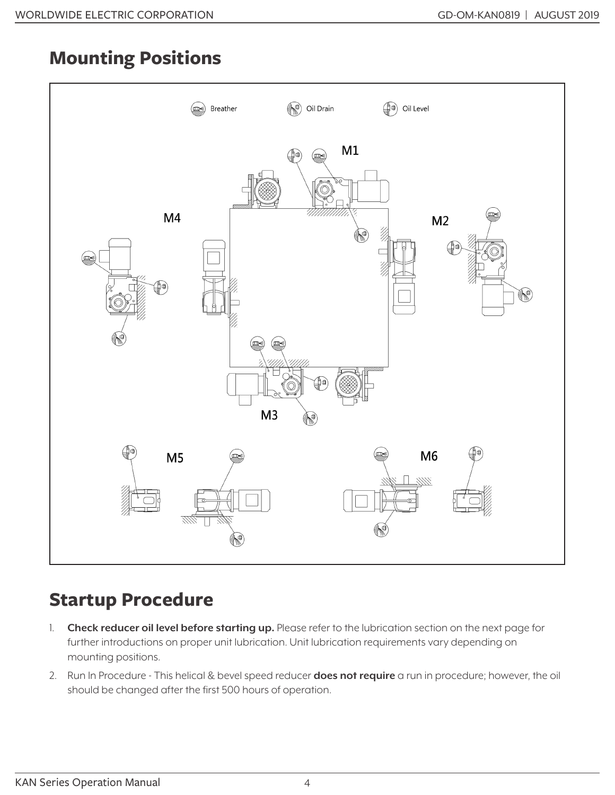## **Mounting Positions**



## **Startup Procedure**

- 1. **Check reducer oil level before starting up.** Please refer to the lubrication section on the next page for further introductions on proper unit lubrication. Unit lubrication requirements vary depending on mounting positions.
- 2. Run In Procedure This helical & bevel speed reducer **does not require** a run in procedure; however, the oil should be changed after the first 500 hours of operation.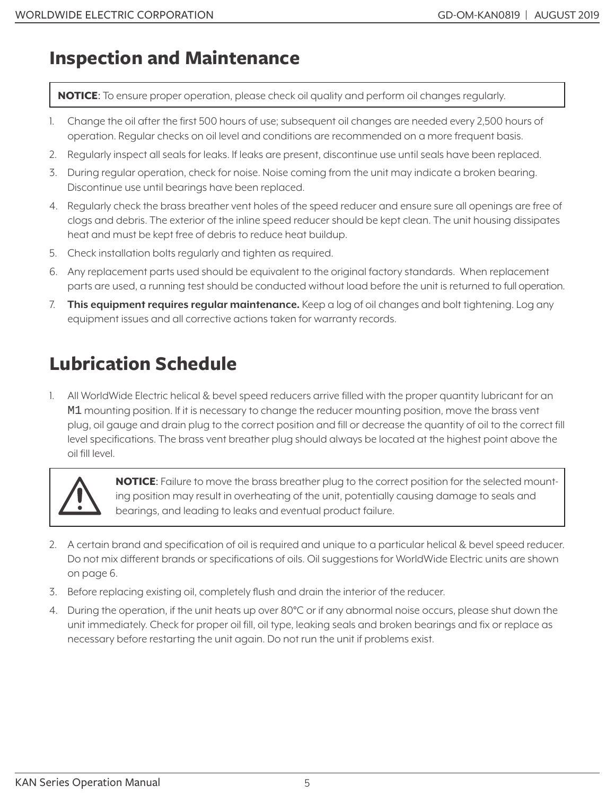#### **Inspection and Maintenance**

NOTICE: To ensure proper operation, please check oil quality and perform oil changes regularly.

- 1. Change the oil after the first 500 hours of use; subsequent oil changes are needed every 2,500 hours of operation. Regular checks on oil level and conditions are recommended on a more frequent basis.
- 2. Regularly inspect all seals for leaks. If leaks are present, discontinue use until seals have been replaced.
- 3. During regular operation, check for noise. Noise coming from the unit may indicate a broken bearing. Discontinue use until bearings have been replaced.
- 4. Regularly check the brass breather vent holes of the speed reducer and ensure sure all openings are free of clogs and debris. The exterior of the inline speed reducer should be kept clean. The unit housing dissipates heat and must be kept free of debris to reduce heat buildup.
- 5. Check installation bolts regularly and tighten as required.
- 6. Any replacement parts used should be equivalent to the original factory standards. When replacement parts are used, a running test should be conducted without load before the unit is returned to full operation.
- 7. **This equipment requires regular maintenance.** Keep a log of oil changes and bolt tightening. Log any equipment issues and all corrective actions taken for warranty records.

# **Lubrication Schedule**

1. All WorldWide Electric helical & bevel speed reducers arrive filled with the proper quantity lubricant for an M1 mounting position. If it is necessary to change the reducer mounting position, move the brass vent plug, oil gauge and drain plug to the correct position and fill or decrease the quantity of oil to the correct fill level specifications. The brass vent breather plug should always be located at the highest point above the oil fill level.



**NOTICE:** Failure to move the brass breather plug to the correct position for the selected mounting position may result in overheating of the unit, potentially causing damage to seals and bearings, and leading to leaks and eventual product failure.

- 2. A certain brand and specification of oil is required and unique to a particular helical & bevel speed reducer. Do not mix different brands or specifications of oils. Oil suggestions for WorldWide Electric units are shown on page 6.
- 3. Before replacing existing oil, completely flush and drain the interior of the reducer.
- 4. During the operation, if the unit heats up over 80°C or if any abnormal noise occurs, please shut down the unit immediately. Check for proper oil fill, oil type, leaking seals and broken bearings and fix or replace as necessary before restarting the unit again. Do not run the unit if problems exist.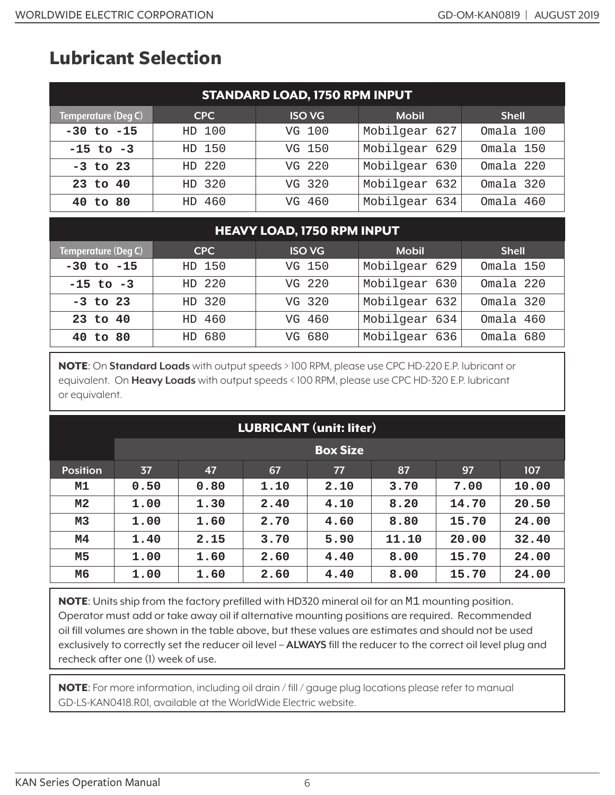## **Lubricant Selection**

| <b>STANDARD LOAD, 1750 RPM INPUT</b> |            |               |               |              |  |  |
|--------------------------------------|------------|---------------|---------------|--------------|--|--|
| Temperature (Deg C)                  | <b>CPC</b> | <b>ISO VG</b> | <b>Mobil</b>  | <b>Shell</b> |  |  |
| $-30$ to $-15$                       | HD 100     | VG 100        | Mobilgear 627 | Omala 100    |  |  |
| $-15$ to $-3$                        | HD 150     | VG 150        | Mobilgear 629 | Omala 150    |  |  |
| $-3$ to 23                           | HD 220     | VG 220        | Mobilgear 630 | Omala 220    |  |  |
| 23 to 40                             | HD 320     | VG 320        | Mobilgear 632 | Omala 320    |  |  |
| 40 to 80                             | HD 460     | VG 460        | Mobilgear 634 | Omala 460    |  |  |

#### HEAVY LOAD, 1750 RPM INPUT

| Temperature (Deg C) | <b>CPC</b> | <b>ISO VG</b> | <b>Mobil</b>  | <b>Shell</b> |
|---------------------|------------|---------------|---------------|--------------|
| $-30$ to $-15$      | HD 150     | VG 150        | Mobilgear 629 | Omala 150    |
| $-15$ to $-3$       | HD 220     | VG 220        | Mobilgear 630 | Omala 220    |
| $-3$ to 23          | HD 320     | VG 320        | Mobilgear 632 | Omala 320    |
| 23 to 40            | HD 460     | VG 460        | Mobilgear 634 | Omala 460    |
| 40 to 80            | HD 680     | VG 680        | Mobilgear 636 | Omala 680    |

NOTE: On **Standard Loads** with output speeds > 100 RPM, please use CPC HD-220 E.P. lubricant or equivalent. On **Heavy Loads** with output speeds < 100 RPM, please use CPC HD-320 E.P. lubricant or equivalent.

| <b>LUBRICANT</b> (unit: liter) |      |                 |      |      |       |       |       |  |
|--------------------------------|------|-----------------|------|------|-------|-------|-------|--|
|                                |      | <b>Box Size</b> |      |      |       |       |       |  |
| <b>Position</b>                | 37   | 47              | 67   | 77   | 87    | 97    | 107   |  |
| M1                             | 0.50 | 0.80            | 1.10 | 2.10 | 3.70  | 7.00  | 10.00 |  |
| М2                             | 1.00 | 1.30            | 2.40 | 4.10 | 8.20  | 14.70 | 20.50 |  |
| M3                             | 1.00 | 1.60            | 2.70 | 4.60 | 8.80  | 15.70 | 24.00 |  |
| M <sub>4</sub>                 | 1.40 | 2.15            | 3.70 | 5.90 | 11.10 | 20.00 | 32.40 |  |
| M5                             | 1.00 | 1.60            | 2.60 | 4.40 | 8.00  | 15.70 | 24.00 |  |
| М6                             | 1.00 | 1.60            | 2.60 | 4.40 | 8.00  | 15.70 | 24.00 |  |

NOTE: Units ship from the factory prefilled with HD320 mineral oil for an M1 mounting position. Operator must add or take away oil if alternative mounting positions are required. Recommended oil fill volumes are shown in the table above, but these values are estimates and should not be used exclusively to correctly set the reducer oil level – **ALWAYS** fill the reducer to the correct oil level plug and recheck after one (1) week of use.

NOTE: For more information, including oil drain / fill / gauge plug locations please refer to manual GD-LS-KAN0418.R01, available at the WorldWide Electric website.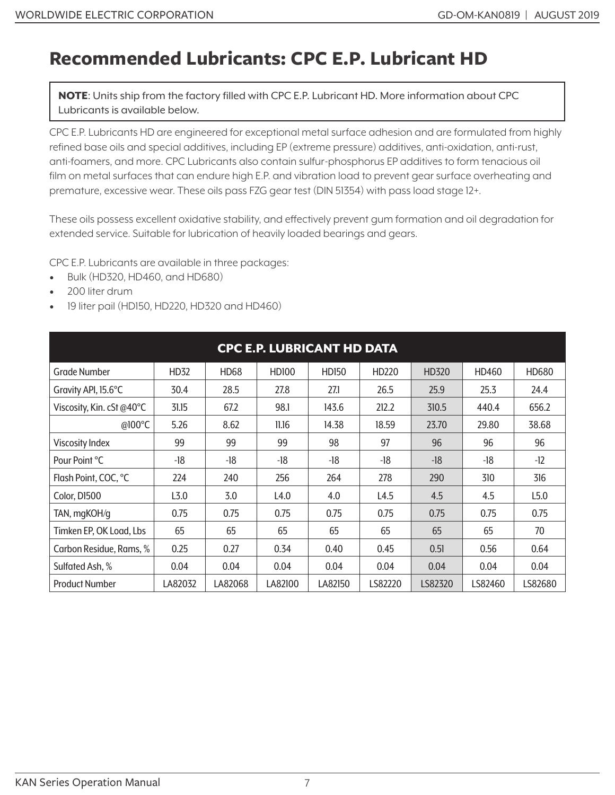#### **Recommended Lubricants: CPC E.P. Lubricant HD**

NOTE: Units ship from the factory filled with CPC E.P. Lubricant HD. More information about CPC Lubricants is available below.

CPC E.P. Lubricants HD are engineered for exceptional metal surface adhesion and are formulated from highly refined base oils and special additives, including EP (extreme pressure) additives, anti-oxidation, anti-rust, anti-foamers, and more. CPC Lubricants also contain sulfur-phosphorus EP additives to form tenacious oil film on metal surfaces that can endure high E.P. and vibration load to prevent gear surface overheating and premature, excessive wear. These oils pass FZG gear test (DIN 51354) with pass load stage 12+.

These oils possess excellent oxidative stability, and effectively prevent gum formation and oil degradation for extended service. Suitable for lubrication of heavily loaded bearings and gears.

CPC E.P. Lubricants are available in three packages:

- Bulk (HD320, HD460, and HD680)
- 200 liter drum
- 19 liter pail (HD150, HD220, HD320 and HD460)

| <b>CPC E.P. LUBRICANT HD DATA</b> |                  |         |              |              |         |         |         |         |
|-----------------------------------|------------------|---------|--------------|--------------|---------|---------|---------|---------|
| <b>Grade Number</b>               | HD32             | HD68    | <b>HD100</b> | <b>HD150</b> | HD220   | HD320   | HD460   | HD680   |
| Gravity API, 15.6°C               | 30.4             | 28.5    | 27.8         | 27.1         | 26.5    | 25.9    | 25.3    | 24.4    |
| Viscosity, Kin. cSt @40°C         | 31.15            | 67.2    | 98.1         | 143.6        | 212.2   | 310.5   | 440.4   | 656.2   |
| @100°C                            | 5.26             | 8.62    | 11.16        | 14.38        | 18.59   | 23.70   | 29.80   | 38.68   |
| <b>Viscosity Index</b>            | 99               | 99      | 99           | 98           | 97      | 96      | 96      | 96      |
| Pour Point °C                     | -18              | -18     | -18          | -18          | -18     | $-18$   | -18     | $-12$   |
| Flash Point, COC, °C              | 224              | 240     | 256          | 264          | 278     | 290     | 310     | 316     |
| Color, D1500                      | L <sub>3.0</sub> | 3.0     | L4.0         | 4.0          | L4.5    | 4.5     | 4.5     | L5.0    |
| TAN, mgKOH/g                      | 0.75             | 0.75    | 0.75         | 0.75         | 0.75    | 0.75    | 0.75    | 0.75    |
| Timken EP, OK Load, Lbs           | 65               | 65      | 65           | 65           | 65      | 65      | 65      | 70      |
| Carbon Residue, Rams, %           | 0.25             | 0.27    | 0.34         | 0.40         | 0.45    | 0.51    | 0.56    | 0.64    |
| Sulfated Ash, %                   | 0.04             | 0.04    | 0.04         | 0.04         | 0.04    | 0.04    | 0.04    | 0.04    |
| <b>Product Number</b>             | LA82032          | LA82068 | LA82100      | LA82150      | LS82220 | LS82320 | LS82460 | LS82680 |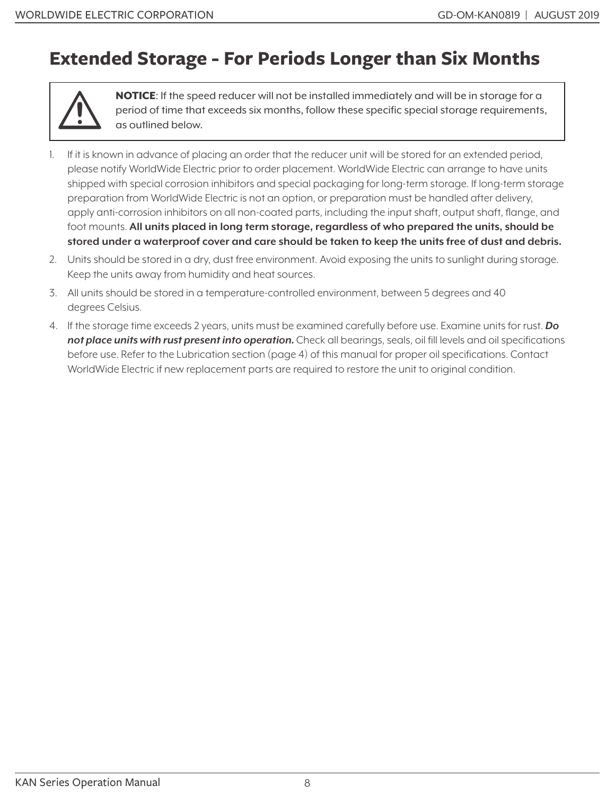### **Extended Storage - For Periods Longer than Six Months**



NOTICE: If the speed reducer will not be installed immediately and will be in storage for a period of time that exceeds six months, follow these specific special storage requirements, as outlined below.

- 1. If it is known in advance of placing an order that the reducer unit will be stored for an extended period, please notify WorldWide Electric prior to order placement. WorldWide Electric can arrange to have units shipped with special corrosion inhibitors and special packaging for long-term storage. If long-term storage preparation from WorldWide Electric is not an option, or preparation must be handled after delivery, apply anti-corrosion inhibitors on all non-coated parts, including the input shaft, output shaft, flange, and foot mounts. **All units placed in long term storage, regardless of who prepared the units, should be stored under a waterproof cover and care should be taken to keep the units free of dust and debris.**
- 2. Units should be stored in a dry, dust free environment. Avoid exposing the units to sunlight during storage. Keep the units away from humidity and heat sources.
- 3. All units should be stored in a temperature-controlled environment, between 5 degrees and 40 degrees Celsius.
- 4. If the storage time exceeds 2 years, units must be examined carefully before use. Examine units for rust. *Do not place units with rust present into operation.* Check all bearings, seals, oil fill levels and oil specifications before use. Refer to the Lubrication section (page 4) of this manual for proper oil specifications. Contact WorldWide Electric if new replacement parts are required to restore the unit to original condition.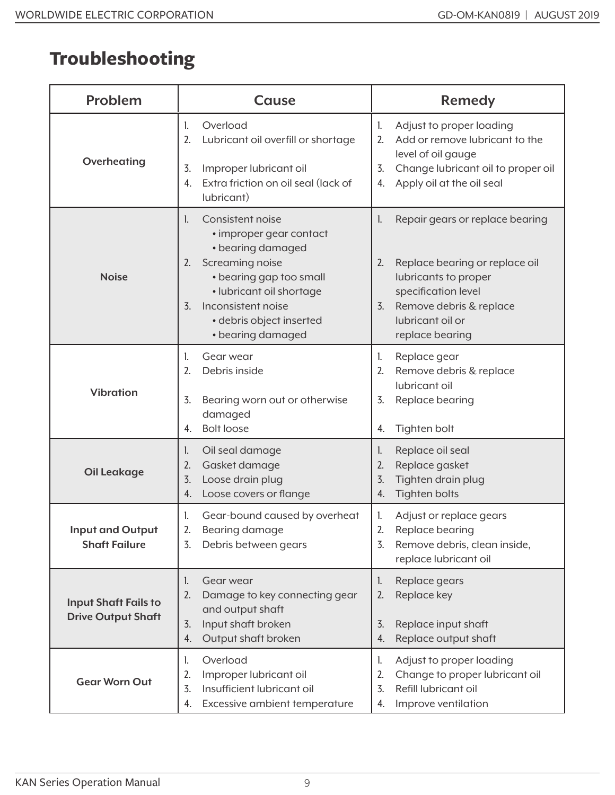# **Troubleshooting**

| Problem                                                  | Cause                                                                                                                                                                                                                                             | <b>Remedy</b>                                                                                                                                                                                        |  |  |
|----------------------------------------------------------|---------------------------------------------------------------------------------------------------------------------------------------------------------------------------------------------------------------------------------------------------|------------------------------------------------------------------------------------------------------------------------------------------------------------------------------------------------------|--|--|
| Overheating                                              | Overload<br>1.<br>2.<br>Lubricant oil overfill or shortage<br>Improper lubricant oil<br>3.<br>Extra friction on oil seal (lack of<br>4.<br>lubricant)                                                                                             | Adjust to proper loading<br>1.<br>Add or remove lubricant to the<br>2.<br>level of oil gauge<br>Change lubricant oil to proper oil<br>3.<br>Apply oil at the oil seal<br>4.                          |  |  |
| <b>Noise</b>                                             | Consistent noise<br>1.<br>• improper gear contact<br>• bearing damaged<br>Screaming noise<br>2.<br>• bearing gap too small<br>· lubricant oil shortage<br>Inconsistent noise<br>$\overline{3}$ .<br>· debris object inserted<br>• bearing damaged | Repair gears or replace bearing<br>1.<br>Replace bearing or replace oil<br>2.<br>lubricants to proper<br>specification level<br>Remove debris & replace<br>3.<br>lubricant oil or<br>replace bearing |  |  |
| <b>Vibration</b>                                         | Gear wear<br>1.<br>2.<br>Debris inside<br>3.<br>Bearing worn out or otherwise<br>damaged<br><b>Bolt loose</b><br>4.                                                                                                                               | Replace gear<br>1.<br>Remove debris & replace<br>2.<br>lubricant oil<br>3.<br>Replace bearing<br>Tighten bolt<br>4.                                                                                  |  |  |
| <b>Oil Leakage</b>                                       | Oil seal damage<br>1.<br>Gasket damage<br>2.<br>Loose drain plug<br>3.<br>Loose covers or flange<br>4.                                                                                                                                            | Replace oil seal<br>1.<br>Replace gasket<br>2.<br>Tighten drain plug<br>3.<br>Tighten bolts<br>4.                                                                                                    |  |  |
| <b>Input and Output</b><br><b>Shaft Failure</b>          | Gear-bound caused by overheat<br>1.<br>2.<br>Bearing damage<br>Debris between gears<br>3.                                                                                                                                                         | Adjust or replace gears<br>1.<br>2.<br>Replace bearing<br>Remove debris, clean inside,<br>3.<br>replace lubricant oil                                                                                |  |  |
| <b>Input Shaft Fails to</b><br><b>Drive Output Shaft</b> | Gear wear<br>1.<br>2.<br>Damage to key connecting gear<br>and output shaft<br>Input shaft broken<br>3.<br>Output shaft broken<br>4.                                                                                                               | Replace gears<br>1.<br>Replace key<br>2.<br>Replace input shaft<br>3.<br>Replace output shaft<br>4.                                                                                                  |  |  |
| <b>Gear Worn Out</b>                                     | Overload<br>1.<br>2.<br>Improper lubricant oil<br>Insufficient lubricant oil<br>3.<br>Excessive ambient temperature<br>4.                                                                                                                         | Adjust to proper loading<br>1.<br>Change to proper lubricant oil<br>2.<br>Refill lubricant oil<br>3.<br>Improve ventilation<br>4.                                                                    |  |  |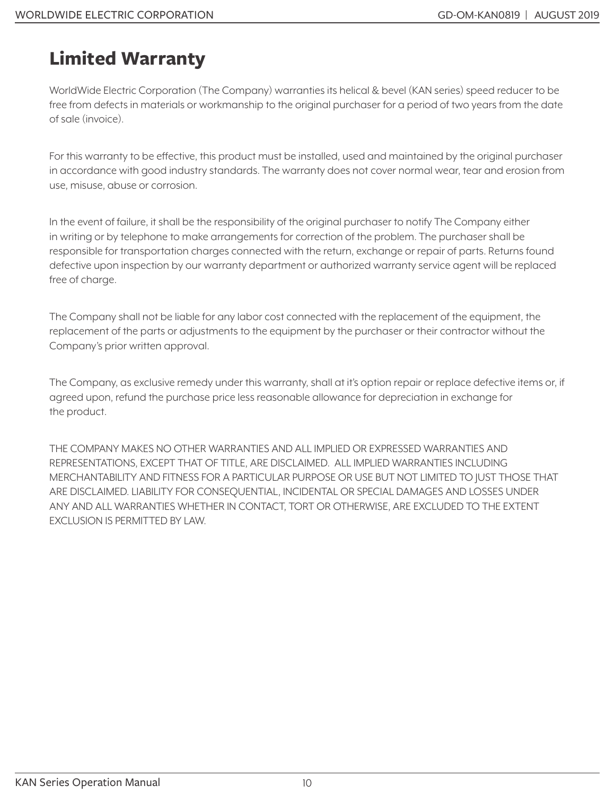# **Limited Warranty**

WorldWide Electric Corporation (The Company) warranties its helical & bevel (KAN series) speed reducer to be free from defects in materials or workmanship to the original purchaser for a period of two years from the date of sale (invoice).

For this warranty to be effective, this product must be installed, used and maintained by the original purchaser in accordance with good industry standards. The warranty does not cover normal wear, tear and erosion from use, misuse, abuse or corrosion.

In the event of failure, it shall be the responsibility of the original purchaser to notify The Company either in writing or by telephone to make arrangements for correction of the problem. The purchaser shall be responsible for transportation charges connected with the return, exchange or repair of parts. Returns found defective upon inspection by our warranty department or authorized warranty service agent will be replaced free of charge.

The Company shall not be liable for any labor cost connected with the replacement of the equipment, the replacement of the parts or adjustments to the equipment by the purchaser or their contractor without the Company's prior written approval.

The Company, as exclusive remedy under this warranty, shall at it's option repair or replace defective items or, if agreed upon, refund the purchase price less reasonable allowance for depreciation in exchange for the product.

THE COMPANY MAKES NO OTHER WARRANTIES AND ALL IMPLIED OR EXPRESSED WARRANTIES AND REPRESENTATIONS, EXCEPT THAT OF TITLE, ARE DISCLAIMED. ALL IMPLIED WARRANTIES INCLUDING MERCHANTABILITY AND FITNESS FOR A PARTICULAR PURPOSE OR USE BUT NOT LIMITED TO JUST THOSE THAT ARE DISCLAIMED. LIABILITY FOR CONSEQUENTIAL, INCIDENTAL OR SPECIAL DAMAGES AND LOSSES UNDER ANY AND ALL WARRANTIES WHETHER IN CONTACT, TORT OR OTHERWISE, ARE EXCLUDED TO THE EXTENT EXCLUSION IS PERMITTED BY LAW.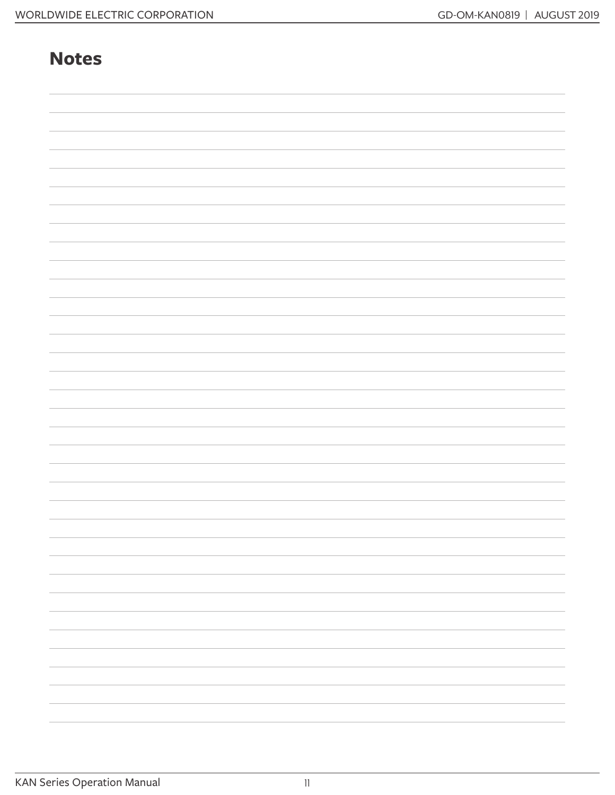#### **Notes**